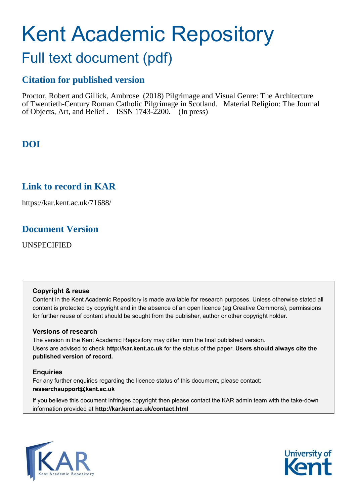# Kent Academic Repository

## Full text document (pdf)

## **Citation for published version**

Proctor, Robert and Gillick, Ambrose (2018) Pilgrimage and Visual Genre: The Architecture of Twentieth-Century Roman Catholic Pilgrimage in Scotland. Material Religion: The Journal of Objects, Art, and Belief . ISSN 1743-2200. (In press)

## **DOI**

## **Link to record in KAR**

https://kar.kent.ac.uk/71688/

## **Document Version**

UNSPECIFIED

#### **Copyright & reuse**

Content in the Kent Academic Repository is made available for research purposes. Unless otherwise stated all content is protected by copyright and in the absence of an open licence (eg Creative Commons), permissions for further reuse of content should be sought from the publisher, author or other copyright holder.

#### **Versions of research**

The version in the Kent Academic Repository may differ from the final published version. Users are advised to check **http://kar.kent.ac.uk** for the status of the paper. **Users should always cite the published version of record.**

#### **Enquiries**

For any further enquiries regarding the licence status of this document, please contact: **researchsupport@kent.ac.uk**

If you believe this document infringes copyright then please contact the KAR admin team with the take-down information provided at **http://kar.kent.ac.uk/contact.html**



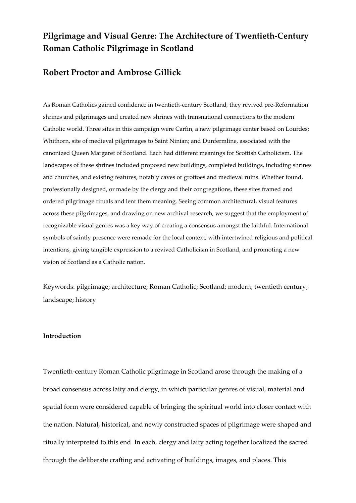### **Pilgrimage and Visual Genre: The Architecture of Twentieth-Century Roman Catholic Pilgrimage in Scotland**

#### **Robert Proctor and Ambrose Gillick**

As Roman Catholics gained confidence in twentieth-century Scotland, they revived pre-Reformation shrines and pilgrimages and created new shrines with transnational connections to the modern Catholic world. Three sites in this campaign were Carfin, a new pilgrimage center based on Lourdes; Whithorn, site of medieval pilgrimages to Saint Ninian; and Dunfermline, associated with the canonized Queen Margaret of Scotland. Each had different meanings for Scottish Catholicism. The landscapes of these shrines included proposed new buildings, completed buildings, including shrines and churches, and existing features, notably caves or grottoes and medieval ruins. Whether found, professionally designed, or made by the clergy and their congregations, these sites framed and ordered pilgrimage rituals and lent them meaning. Seeing common architectural, visual features across these pilgrimages, and drawing on new archival research, we suggest that the employment of recognizable visual genres was a key way of creating a consensus amongst the faithful. International symbols of saintly presence were remade for the local context, with intertwined religious and political intentions, giving tangible expression to a revived Catholicism in Scotland, and promoting a new vision of Scotland as a Catholic nation.

Keywords: pilgrimage; architecture; Roman Catholic; Scotland; modern; twentieth century; landscape; history

#### **Introduction**

Twentieth-century Roman Catholic pilgrimage in Scotland arose through the making of a broad consensus across laity and clergy, in which particular genres of visual, material and spatial form were considered capable of bringing the spiritual world into closer contact with the nation. Natural, historical, and newly constructed spaces of pilgrimage were shaped and ritually interpreted to this end. In each, clergy and laity acting together localized the sacred through the deliberate crafting and activating of buildings, images, and places. This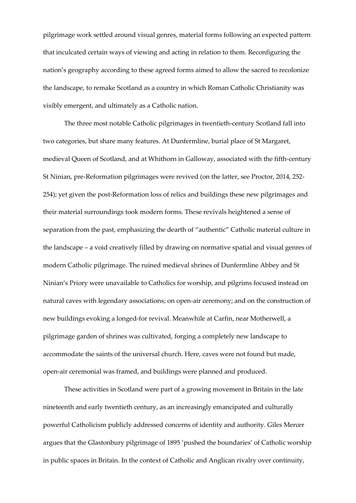pilgrimage work settled around visual genres, material forms following an expected pattern that inculcated certain ways of viewing and acting in relation to them. Reconfiguring the nation's geography according to these agreed forms aimed to allow the sacred to recolonize the landscape, to remake Scotland as a country in which Roman Catholic Christianity was visibly emergent, and ultimately as a Catholic nation.

The three most notable Catholic pilgrimages in twentieth-century Scotland fall into two categories, but share many features. At Dunfermline, burial place of St Margaret, medieval Queen of Scotland, and at Whithorn in Galloway, associated with the fifth-century St Ninian, pre-Reformation pilgrimages were revived (on the latter, see Proctor, 2014, 252- 254); yet given the post-Reformation loss of relics and buildings these new pilgrimages and their material surroundings took modern forms. These revivals heightened a sense of separation from the past, emphasizing the dearth of "authentic" Catholic material culture in the landscape  $-$  a void creatively filled by drawing on normative spatial and visual genres of modern Catholic pilgrimage. The ruined medieval shrines of Dunfermline Abbey and St Ninian's Priory were unavailable to Catholics for worship, and pilgrims focused instead on natural caves with legendary associations; on open-air ceremony; and on the construction of new buildings evoking a longed-for revival. Meanwhile at Carfin, near Motherwell, a pilgrimage garden of shrines was cultivated, forging a completely new landscape to accommodate the saints of the universal church. Here, caves were not found but made, open-air ceremonial was framed, and buildings were planned and produced.

These activities in Scotland were part of a growing movement in Britain in the late nineteenth and early twentieth century, as an increasingly emancipated and culturally powerful Catholicism publicly addressed concerns of identity and authority. Giles Mercer argues that the Glastonbury pilgrimage of 1895 'pushed the boundaries' of Catholic worship in public spaces in Britain. In the context of Catholic and Anglican rivalry over continuity,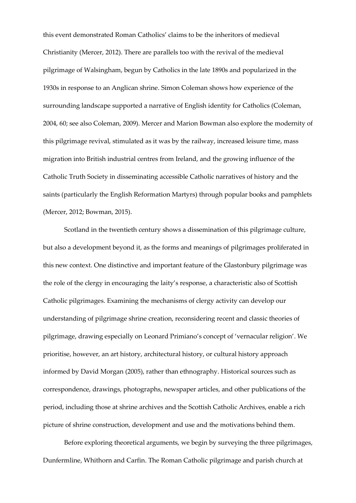this event demonstrated Roman Catholics' claims to be the inheritors of medieval Christianity (Mercer, 2012). There are parallels too with the revival of the medieval pilgrimage of Walsingham, begun by Catholics in the late 1890s and popularized in the 1930s in response to an Anglican shrine. Simon Coleman shows how experience of the surrounding landscape supported a narrative of English identity for Catholics (Coleman, 2004, 60; see also Coleman, 2009). Mercer and Marion Bowman also explore the modernity of this pilgrimage revival, stimulated as it was by the railway, increased leisure time, mass migration into British industrial centres from Ireland, and the growing influence of the Catholic Truth Society in disseminating accessible Catholic narratives of history and the saints (particularly the English Reformation Martyrs) through popular books and pamphlets (Mercer, 2012; Bowman, 2015).

Scotland in the twentieth century shows a dissemination of this pilgrimage culture, but also a development beyond it, as the forms and meanings of pilgrimages proliferated in this new context. One distinctive and important feature of the Glastonbury pilgrimage was the role of the clergy in encouraging the laity's response, a characteristic also of Scottish Catholic pilgrimages. Examining the mechanisms of clergy activity can develop our understanding of pilgrimage shrine creation, reconsidering recent and classic theories of pilgrimage, drawing especially on Leonard Primiano's concept of 'vernacular religion'. We prioritise, however, an art history, architectural history, or cultural history approach informed by David Morgan (2005), rather than ethnography. Historical sources such as correspondence, drawings, photographs, newspaper articles, and other publications of the period, including those at shrine archives and the Scottish Catholic Archives, enable a rich picture of shrine construction, development and use and the motivations behind them.

Before exploring theoretical arguments, we begin by surveying the three pilgrimages, Dunfermline, Whithorn and Carfin. The Roman Catholic pilgrimage and parish church at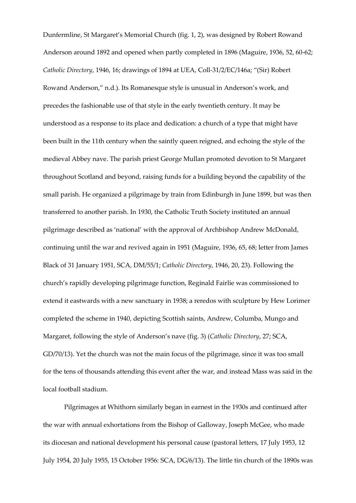Dunfermline, St Margaret's Memorial Church (fig. 1, 2), was designed by Robert Rowand Anderson around 1892 and opened when partly completed in 1896 (Maguire, 1936, 52, 60-62; *Catholic Directory*, 1946, 16; drawings of 1894 at UEA, Coll-31/2/EC/146a; ⦆(Sir) Robert Rowand Anderson," n.d.). Its Romanesque style is unusual in Anderson's work, and precedes the fashionable use of that style in the early twentieth century. It may be understood as a response to its place and dedication: a church of a type that might have been built in the 11th century when the saintly queen reigned, and echoing the style of the medieval Abbey nave. The parish priest George Mullan promoted devotion to St Margaret throughout Scotland and beyond, raising funds for a building beyond the capability of the small parish. He organized a pilgrimage by train from Edinburgh in June 1899, but was then transferred to another parish. In 1930, the Catholic Truth Society instituted an annual pilgrimage described as 'national' with the approval of Archbishop Andrew McDonald, continuing until the war and revived again in 1951 (Maguire, 1936, 65, 68; letter from James Black of 31 January 1951, SCA, DM/55/1; *Catholic Directory*, 1946, 20, 23). Following the church's rapidly developing pilgrimage function, Reginald Fairlie was commissioned to extend it eastwards with a new sanctuary in 1938; a reredos with sculpture by Hew Lorimer completed the scheme in 1940, depicting Scottish saints, Andrew, Columba, Mungo and Margaret, following the style of Anderson's nave (fig. 3) (*Catholic Directory*, 27; SCA, GD/70/13). Yet the church was not the main focus of the pilgrimage, since it was too small for the tens of thousands attending this event after the war, and instead Mass was said in the local football stadium.

Pilgrimages at Whithorn similarly began in earnest in the 1930s and continued after the war with annual exhortations from the Bishop of Galloway, Joseph McGee, who made its diocesan and national development his personal cause (pastoral letters, 17 July 1953, 12 July 1954, 20 July 1955, 15 October 1956: SCA, DG/6/13). The little tin church of the 1890s was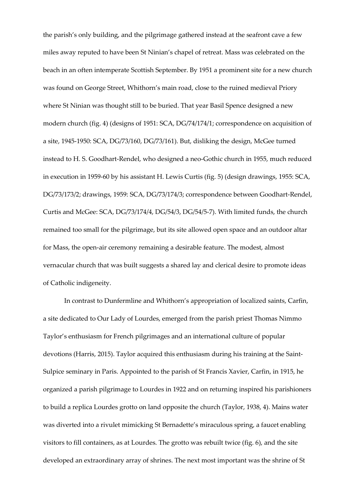the parish's only building, and the pilgrimage gathered instead at the seafront cave a few miles away reputed to have been St Ninian's chapel of retreat. Mass was celebrated on the beach in an often intemperate Scottish September. By 1951 a prominent site for a new church was found on George Street, Whithorn's main road, close to the ruined medieval Priory where St Ninian was thought still to be buried. That year Basil Spence designed a new modern church (fig. 4) (designs of 1951: SCA, DG/74/174/1; correspondence on acquisition of a site, 1945-1950: SCA, DG/73/160, DG/73/161). But, disliking the design, McGee turned instead to H. S. Goodhart-Rendel, who designed a neo-Gothic church in 1955, much reduced in execution in 1959-60 by his assistant H. Lewis Curtis (fig. 5) (design drawings, 1955: SCA, DG/73/173/2; drawings, 1959: SCA, DG/73/174/3; correspondence between Goodhart-Rendel, Curtis and McGee: SCA, DG/73/174/4, DG/54/3, DG/54/5-7). With limited funds, the church remained too small for the pilgrimage, but its site allowed open space and an outdoor altar for Mass, the open-air ceremony remaining a desirable feature. The modest, almost vernacular church that was built suggests a shared lay and clerical desire to promote ideas of Catholic indigeneity.

In contrast to Dunfermline and Whithorn's appropriation of localized saints, Carfin, a site dedicated to Our Lady of Lourdes, emerged from the parish priest Thomas Nimmo Taylor's enthusiasm for French pilgrimages and an international culture of popular devotions (Harris, 2015). Taylor acquired this enthusiasm during his training at the Saint-Sulpice seminary in Paris. Appointed to the parish of St Francis Xavier, Carfin, in 1915, he organized a parish pilgrimage to Lourdes in 1922 and on returning inspired his parishioners to build a replica Lourdes grotto on land opposite the church (Taylor, 1938, 4). Mains water was diverted into a rivulet mimicking St Bernadette's miraculous spring, a faucet enabling visitors to fill containers, as at Lourdes. The grotto was rebuilt twice (fig. 6), and the site developed an extraordinary array of shrines. The next most important was the shrine of St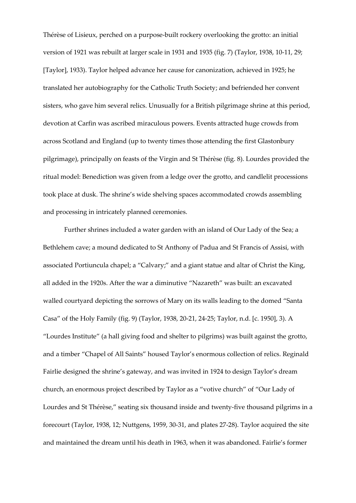Thérèse of Lisieux, perched on a purpose-built rockery overlooking the grotto: an initial version of 1921 was rebuilt at larger scale in 1931 and 1935 (fig. 7) (Taylor, 1938, 10-11, 29; [Taylor], 1933). Taylor helped advance her cause for canonization, achieved in 1925; he translated her autobiography for the Catholic Truth Society; and befriended her convent sisters, who gave him several relics. Unusually for a British pilgrimage shrine at this period, devotion at Carfin was ascribed miraculous powers. Events attracted huge crowds from across Scotland and England (up to twenty times those attending the first Glastonbury pilgrimage), principally on feasts of the Virgin and St Thérèse (fig. 8). Lourdes provided the ritual model: Benediction was given from a ledge over the grotto, and candlelit processions took place at dusk. The shrine's wide shelving spaces accommodated crowds assembling and processing in intricately planned ceremonies.

Further shrines included a water garden with an island of Our Lady of the Sea; a Bethlehem cave; a mound dedicated to St Anthony of Padua and St Francis of Assisi, with associated Portiuncula chapel; a "Calvary;" and a giant statue and altar of Christ the King, all added in the 1920s. After the war a diminutive "Nazareth" was built: an excavated walled courtyard depicting the sorrows of Mary on its walls leading to the domed "Santa Casa" of the Holy Family (fig. 9) (Taylor, 1938, 20-21, 24-25; Taylor, n.d. [c. 1950], 3). A "Lourdes Institute" (a hall giving food and shelter to pilgrims) was built against the grotto, and a timber "Chapel of All Saints" housed Taylor's enormous collection of relics. Reginald Fairlie designed the shrine's gateway, and was invited in 1924 to design Taylor's dream church, an enormous project described by Taylor as a "votive church" of "Our Lady of Lourdes and St Thérèse," seating six thousand inside and twenty-five thousand pilgrims in a forecourt (Taylor, 1938, 12; Nuttgens, 1959, 30-31, and plates 27-28). Taylor acquired the site and maintained the dream until his death in 1963, when it was abandoned. Fairlie's former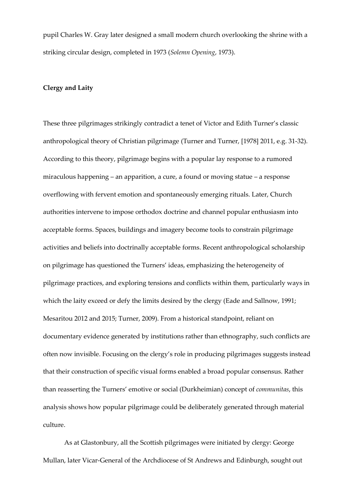pupil Charles W. Gray later designed a small modern church overlooking the shrine with a striking circular design, completed in 1973 (*Solemn Opening*, 1973).

#### **Clergy and Laity**

These three pilgrimages strikingly contradict a tenet of Victor and Edith Turner's classic anthropological theory of Christian pilgrimage (Turner and Turner, [1978] 2011, e.g. 31-32). According to this theory, pilgrimage begins with a popular lay response to a rumored miraculous happening  $-$  an apparition, a cure, a found or moving statue  $-$  a response overflowing with fervent emotion and spontaneously emerging rituals. Later, Church authorities intervene to impose orthodox doctrine and channel popular enthusiasm into acceptable forms. Spaces, buildings and imagery become tools to constrain pilgrimage activities and beliefs into doctrinally acceptable forms. Recent anthropological scholarship on pilgrimage has questioned the Turners' ideas, emphasizing the heterogeneity of pilgrimage practices, and exploring tensions and conflicts within them, particularly ways in which the laity exceed or defy the limits desired by the clergy (Eade and Sallnow, 1991; Mesaritou 2012 and 2015; Turner, 2009). From a historical standpoint, reliant on documentary evidence generated by institutions rather than ethnography, such conflicts are often now invisible. Focusing on the clergy's role in producing pilgrimages suggests instead that their construction of specific visual forms enabled a broad popular consensus. Rather than reasserting the Turners' emotive or social (Durkheimian) concept of *communitas*, this analysis shows how popular pilgrimage could be deliberately generated through material culture.

As at Glastonbury, all the Scottish pilgrimages were initiated by clergy: George Mullan, later Vicar-General of the Archdiocese of St Andrews and Edinburgh, sought out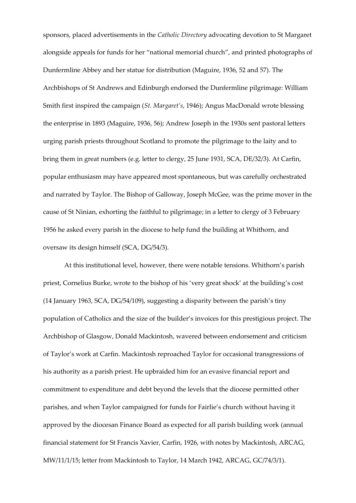sponsors, placed advertisements in the *Catholic Directory* advocating devotion to St Margaret alongside appeals for funds for her "national memorial church", and printed photographs of Dunfermline Abbey and her statue for distribution (Maguire, 1936, 52 and 57). The Archbishops of St Andrews and Edinburgh endorsed the Dunfermline pilgrimage: William Smith first inspired the campaign (*St. Margaret's*, 1946); Angus MacDonald wrote blessing the enterprise in 1893 (Maguire, 1936, 56); Andrew Joseph in the 1930s sent pastoral letters urging parish priests throughout Scotland to promote the pilgrimage to the laity and to bring them in great numbers (e.g. letter to clergy, 25 June 1931, SCA, DE/32/3). At Carfin, popular enthusiasm may have appeared most spontaneous, but was carefully orchestrated and narrated by Taylor. The Bishop of Galloway, Joseph McGee, was the prime mover in the cause of St Ninian, exhorting the faithful to pilgrimage; in a letter to clergy of 3 February 1956 he asked every parish in the diocese to help fund the building at Whithorn, and oversaw its design himself (SCA, DG/54/3).

At this institutional level, however, there were notable tensions. Whithorn's parish priest, Cornelius Burke, wrote to the bishop of his 'very great shock' at the building's cost (14 January 1963, SCA,  $DG/54/109$ ), suggesting a disparity between the parish's tiny population of Catholics and the size of the builder's invoices for this prestigious project. The Archbishop of Glasgow, Donald Mackintosh, wavered between endorsement and criticism of Taylor's work at Carfin. Mackintosh reproached Taylor for occasional transgressions of his authority as a parish priest. He upbraided him for an evasive financial report and commitment to expenditure and debt beyond the levels that the diocese permitted other parishes, and when Taylor campaigned for funds for Fairlie's church without having it approved by the diocesan Finance Board as expected for all parish building work (annual financial statement for St Francis Xavier, Carfin, 1926, with notes by Mackintosh, ARCAG, MW/11/1/15; letter from Mackintosh to Taylor, 14 March 1942, ARCAG, GC/74/3/1).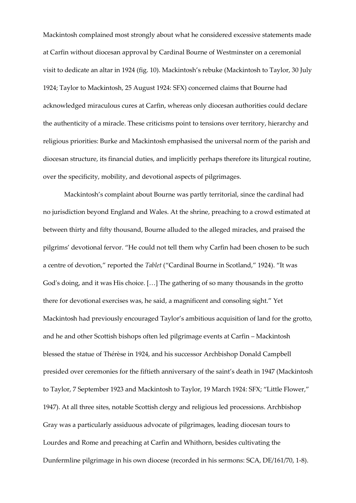Mackintosh complained most strongly about what he considered excessive statements made at Carfin without diocesan approval by Cardinal Bourne of Westminster on a ceremonial visit to dedicate an altar in 1924 (fig. 10). Mackintosh's rebuke (Mackintosh to Taylor, 30 July 1924; Taylor to Mackintosh, 25 August 1924: SFX) concerned claims that Bourne had acknowledged miraculous cures at Carfin, whereas only diocesan authorities could declare the authenticity of a miracle. These criticisms point to tensions over territory, hierarchy and religious priorities: Burke and Mackintosh emphasised the universal norm of the parish and diocesan structure, its financial duties, and implicitly perhaps therefore its liturgical routine, over the specificity, mobility, and devotional aspects of pilgrimages.

Mackintosh's complaint about Bourne was partly territorial, since the cardinal had no jurisdiction beyond England and Wales. At the shrine, preaching to a crowd estimated at between thirty and fifty thousand, Bourne alluded to the alleged miracles, and praised the pilgrims' devotional fervor. "He could not tell them why Carfin had been chosen to be such a centre of devotion," reported the *Tablet* ("Cardinal Bourne in Scotland," 1924). "It was God's doing, and it was His choice. [...] The gathering of so many thousands in the grotto there for devotional exercises was, he said, a magnificent and consoling sight." Yet Mackintosh had previously encouraged Taylor's ambitious acquisition of land for the grotto, and he and other Scottish bishops often led pilgrimage events at Carfin - Mackintosh blessed the statue of Thérèse in 1924, and his successor Archbishop Donald Campbell presided over ceremonies for the fiftieth anniversary of the saint's death in 1947 (Mackintosh to Taylor, 7 September 1923 and Mackintosh to Taylor, 19 March 1924: SFX; "Little Flower," 1947). At all three sites, notable Scottish clergy and religious led processions. Archbishop Gray was a particularly assiduous advocate of pilgrimages, leading diocesan tours to Lourdes and Rome and preaching at Carfin and Whithorn, besides cultivating the Dunfermline pilgrimage in his own diocese (recorded in his sermons: SCA, DE/161/70, 1-8).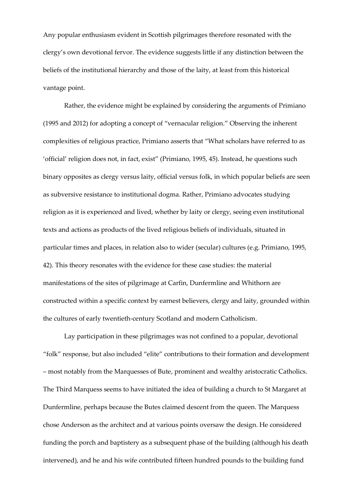Any popular enthusiasm evident in Scottish pilgrimages therefore resonated with the clergy's own devotional fervor. The evidence suggests little if any distinction between the beliefs of the institutional hierarchy and those of the laity, at least from this historical vantage point.

Rather, the evidence might be explained by considering the arguments of Primiano (1995 and 2012) for adopting a concept of "vernacular religion." Observing the inherent complexities of religious practice, Primiano asserts that "What scholars have referred to as 'official' religion does not, in fact, exist" (Primiano, 1995, 45). Instead, he questions such binary opposites as clergy versus laity, official versus folk, in which popular beliefs are seen as subversive resistance to institutional dogma. Rather, Primiano advocates studying religion as it is experienced and lived, whether by laity or clergy, seeing even institutional texts and actions as products of the lived religious beliefs of individuals, situated in particular times and places, in relation also to wider (secular) cultures (e.g. Primiano, 1995, 42). This theory resonates with the evidence for these case studies: the material manifestations of the sites of pilgrimage at Carfin, Dunfermline and Whithorn are constructed within a specific context by earnest believers, clergy and laity, grounded within the cultures of early twentieth-century Scotland and modern Catholicism.

Lay participation in these pilgrimages was not confined to a popular, devotional "folk" response, but also included "elite" contributions to their formation and development - most notably from the Marquesses of Bute, prominent and wealthy aristocratic Catholics. The Third Marquess seems to have initiated the idea of building a church to St Margaret at Dunfermline, perhaps because the Butes claimed descent from the queen. The Marquess chose Anderson as the architect and at various points oversaw the design. He considered funding the porch and baptistery as a subsequent phase of the building (although his death intervened), and he and his wife contributed fifteen hundred pounds to the building fund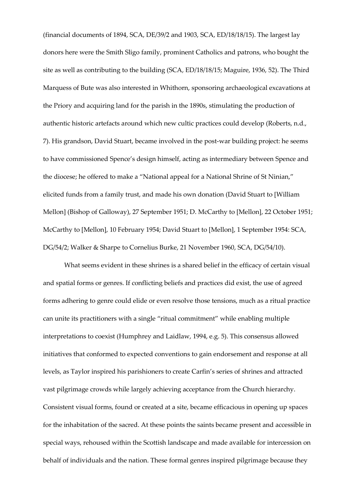(financial documents of 1894, SCA, DE/39/2 and 1903, SCA, ED/18/18/15). The largest lay donors here were the Smith Sligo family, prominent Catholics and patrons, who bought the site as well as contributing to the building (SCA, ED/18/18/15; Maguire, 1936, 52). The Third Marquess of Bute was also interested in Whithorn, sponsoring archaeological excavations at the Priory and acquiring land for the parish in the 1890s, stimulating the production of authentic historic artefacts around which new cultic practices could develop (Roberts, n.d., 7). His grandson, David Stuart, became involved in the post-war building project: he seems to have commissioned Spence's design himself, acting as intermediary between Spence and the diocese; he offered to make a "National appeal for a National Shrine of St Ninian," elicited funds from a family trust, and made his own donation (David Stuart to [William Mellon] (Bishop of Galloway), 27 September 1951; D. McCarthy to [Mellon], 22 October 1951; McCarthy to [Mellon], 10 February 1954; David Stuart to [Mellon], 1 September 1954: SCA, DG/54/2; Walker & Sharpe to Cornelius Burke, 21 November 1960, SCA, DG/54/10).

What seems evident in these shrines is a shared belief in the efficacy of certain visual and spatial forms or genres. If conflicting beliefs and practices did exist, the use of agreed forms adhering to genre could elide or even resolve those tensions, much as a ritual practice can unite its practitioners with a single "ritual commitment" while enabling multiple interpretations to coexist (Humphrey and Laidlaw, 1994, e.g. 5). This consensus allowed initiatives that conformed to expected conventions to gain endorsement and response at all levels, as Taylor inspired his parishioners to create Carfin's series of shrines and attracted vast pilgrimage crowds while largely achieving acceptance from the Church hierarchy. Consistent visual forms, found or created at a site, became efficacious in opening up spaces for the inhabitation of the sacred. At these points the saints became present and accessible in special ways, rehoused within the Scottish landscape and made available for intercession on behalf of individuals and the nation. These formal genres inspired pilgrimage because they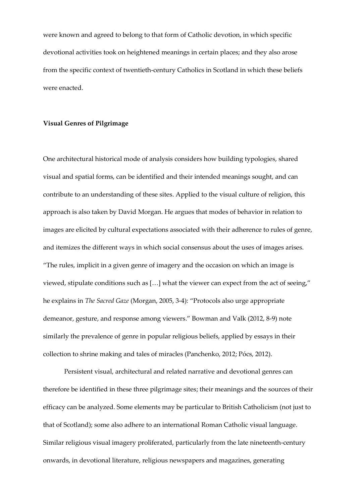were known and agreed to belong to that form of Catholic devotion, in which specific devotional activities took on heightened meanings in certain places; and they also arose from the specific context of twentieth-century Catholics in Scotland in which these beliefs were enacted.

#### **Visual Genres of Pilgrimage**

One architectural historical mode of analysis considers how building typologies, shared visual and spatial forms, can be identified and their intended meanings sought, and can contribute to an understanding of these sites. Applied to the visual culture of religion, this approach is also taken by David Morgan. He argues that modes of behavior in relation to images are elicited by cultural expectations associated with their adherence to rules of genre, and itemizes the different ways in which social consensus about the uses of images arises. ⦆The rules, implicit in a given genre of imagery and the occasion on which an image is viewed, stipulate conditions such as [...] what the viewer can expect from the act of seeing," he explains in *The Sacred Gaze* (Morgan, 2005, 3-4): ⦆Protocols also urge appropriate demeanor, gesture, and response among viewers." Bowman and Valk (2012, 8-9) note similarly the prevalence of genre in popular religious beliefs, applied by essays in their collection to shrine making and tales of miracles (Panchenko, 2012; Pócs, 2012).

Persistent visual, architectural and related narrative and devotional genres can therefore be identified in these three pilgrimage sites; their meanings and the sources of their efficacy can be analyzed. Some elements may be particular to British Catholicism (not just to that of Scotland); some also adhere to an international Roman Catholic visual language. Similar religious visual imagery proliferated, particularly from the late nineteenth-century onwards, in devotional literature, religious newspapers and magazines, generating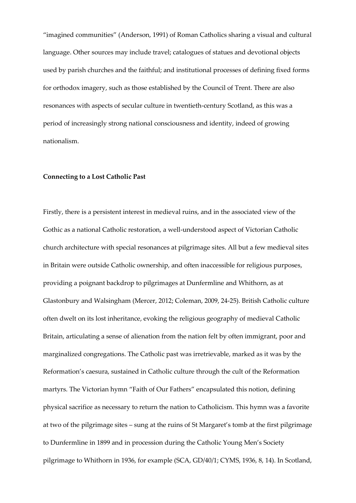"imagined communities" (Anderson, 1991) of Roman Catholics sharing a visual and cultural language. Other sources may include travel; catalogues of statues and devotional objects used by parish churches and the faithful; and institutional processes of defining fixed forms for orthodox imagery, such as those established by the Council of Trent. There are also resonances with aspects of secular culture in twentieth-century Scotland, as this was a period of increasingly strong national consciousness and identity, indeed of growing nationalism.

#### **Connecting to a Lost Catholic Past**

Firstly, there is a persistent interest in medieval ruins, and in the associated view of the Gothic as a national Catholic restoration, a well-understood aspect of Victorian Catholic church architecture with special resonances at pilgrimage sites. All but a few medieval sites in Britain were outside Catholic ownership, and often inaccessible for religious purposes, providing a poignant backdrop to pilgrimages at Dunfermline and Whithorn, as at Glastonbury and Walsingham (Mercer, 2012; Coleman, 2009, 24-25). British Catholic culture often dwelt on its lost inheritance, evoking the religious geography of medieval Catholic Britain, articulating a sense of alienation from the nation felt by often immigrant, poor and marginalized congregations. The Catholic past was irretrievable, marked as it was by the Reformation's caesura, sustained in Catholic culture through the cult of the Reformation martyrs. The Victorian hymn "Faith of Our Fathers" encapsulated this notion, defining physical sacrifice as necessary to return the nation to Catholicism. This hymn was a favorite at two of the pilgrimage sites - sung at the ruins of St Margaret's tomb at the first pilgrimage to Dunfermline in 1899 and in procession during the Catholic Young Men's Society pilgrimage to Whithorn in 1936, for example (SCA, GD/40/1; CYMS, 1936, 8, 14). In Scotland,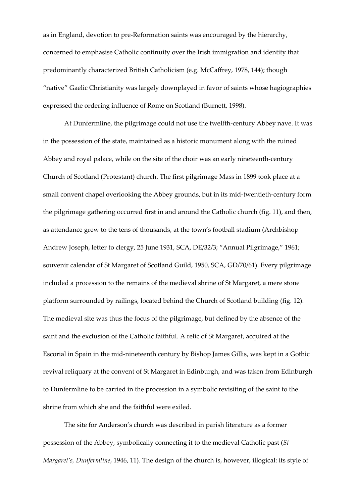as in England, devotion to pre-Reformation saints was encouraged by the hierarchy, concerned to emphasise Catholic continuity over the Irish immigration and identity that predominantly characterized British Catholicism (e.g. McCaffrey, 1978, 144); though "native" Gaelic Christianity was largely downplayed in favor of saints whose hagiographies expressed the ordering influence of Rome on Scotland (Burnett, 1998).

At Dunfermline, the pilgrimage could not use the twelfth-century Abbey nave. It was in the possession of the state, maintained as a historic monument along with the ruined Abbey and royal palace, while on the site of the choir was an early nineteenth-century Church of Scotland (Protestant) church. The first pilgrimage Mass in 1899 took place at a small convent chapel overlooking the Abbey grounds, but in its mid-twentieth-century form the pilgrimage gathering occurred first in and around the Catholic church (fig. 11), and then, as attendance grew to the tens of thousands, at the town's football stadium (Archbishop Andrew Joseph, letter to clergy, 25 June 1931, SCA, DE/32/3; "Annual Pilgrimage," 1961; souvenir calendar of St Margaret of Scotland Guild, 1950, SCA, GD/70/61). Every pilgrimage included a procession to the remains of the medieval shrine of St Margaret, a mere stone platform surrounded by railings, located behind the Church of Scotland building (fig. 12). The medieval site was thus the focus of the pilgrimage, but defined by the absence of the saint and the exclusion of the Catholic faithful. A relic of St Margaret, acquired at the Escorial in Spain in the mid-nineteenth century by Bishop James Gillis, was kept in a Gothic revival reliquary at the convent of St Margaret in Edinburgh, and was taken from Edinburgh to Dunfermline to be carried in the procession in a symbolic revisiting of the saint to the shrine from which she and the faithful were exiled.

The site for Anderson's church was described in parish literature as a former possession of the Abbey, symbolically connecting it to the medieval Catholic past (*St Margaret's, Dunfermline, 1946, 11). The design of the church is, however, illogical: its style of*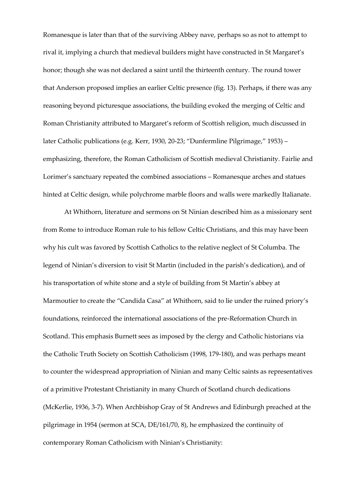Romanesque is later than that of the surviving Abbey nave, perhaps so as not to attempt to rival it, implying a church that medieval builders might have constructed in St Margaret's honor; though she was not declared a saint until the thirteenth century. The round tower that Anderson proposed implies an earlier Celtic presence (fig. 13). Perhaps, if there was any reasoning beyond picturesque associations, the building evoked the merging of Celtic and Roman Christianity attributed to Margaret's reform of Scottish religion, much discussed in later Catholic publications (e.g. Kerr, 1930, 20-23; "Dunfermline Pilgrimage," 1953) emphasizing, therefore, the Roman Catholicism of Scottish medieval Christianity. Fairlie and Lorimer's sanctuary repeated the combined associations - Romanesque arches and statues hinted at Celtic design, while polychrome marble floors and walls were markedly Italianate.

At Whithorn, literature and sermons on St Ninian described him as a missionary sent from Rome to introduce Roman rule to his fellow Celtic Christians, and this may have been why his cult was favored by Scottish Catholics to the relative neglect of St Columba. The legend of Ninian's diversion to visit St Martin (included in the parish's dedication), and of his transportation of white stone and a style of building from St Martin's abbey at Marmoutier to create the "Candida Casa" at Whithorn, said to lie under the ruined priory's foundations, reinforced the international associations of the pre-Reformation Church in Scotland. This emphasis Burnett sees as imposed by the clergy and Catholic historians via the Catholic Truth Society on Scottish Catholicism (1998, 179-180), and was perhaps meant to counter the widespread appropriation of Ninian and many Celtic saints as representatives of a primitive Protestant Christianity in many Church of Scotland church dedications (McKerlie, 1936, 3-7). When Archbishop Gray of St Andrews and Edinburgh preached at the pilgrimage in 1954 (sermon at SCA, DE/161/70, 8), he emphasized the continuity of contemporary Roman Catholicism with Ninian's Christianity: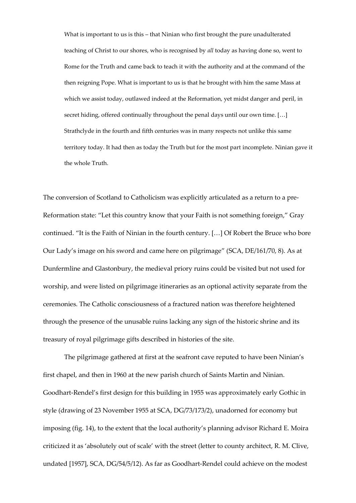What is important to us is this - that Ninian who first brought the pure unadulterated teaching of Christ to our shores, who is recognised by *all* today as having done so, went to Rome for the Truth and came back to teach it with the authority and at the command of the then reigning Pope. What is important to us is that he brought with him the same Mass at which we assist today, outlawed indeed at the Reformation, yet midst danger and peril, in secret hiding, offered continually throughout the penal days until our own time. [...] Strathclyde in the fourth and fifth centuries was in many respects not unlike this same territory today. It had then as today the Truth but for the most part incomplete. Ninian gave it the whole Truth.

The conversion of Scotland to Catholicism was explicitly articulated as a return to a pre-Reformation state: "Let this country know that your Faith is not something foreign," Gray continued. "It is the Faith of Ninian in the fourth century. [...] Of Robert the Bruce who bore Our Lady's image on his sword and came here on pilgrimage" (SCA,  $DE/161/70$ , 8). As at Dunfermline and Glastonbury, the medieval priory ruins could be visited but not used for worship, and were listed on pilgrimage itineraries as an optional activity separate from the ceremonies. The Catholic consciousness of a fractured nation was therefore heightened through the presence of the unusable ruins lacking any sign of the historic shrine and its treasury of royal pilgrimage gifts described in histories of the site.

The pilgrimage gathered at first at the seafront cave reputed to have been Ninian's first chapel, and then in 1960 at the new parish church of Saints Martin and Ninian. Goodhart-Rendel's first design for this building in 1955 was approximately early Gothic in style (drawing of 23 November 1955 at SCA, DG/73/173/2), unadorned for economy but imposing (fig. 14), to the extent that the local authority's planning advisor Richard E. Moira criticized it as 'absolutely out of scale' with the street (letter to county architect, R. M. Clive, undated [1957], SCA, DG/54/5/12). As far as Goodhart-Rendel could achieve on the modest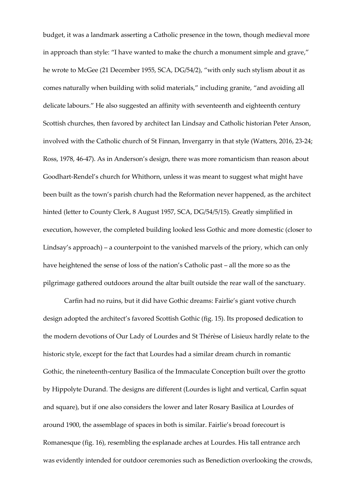budget, it was a landmark asserting a Catholic presence in the town, though medieval more in approach than style: "I have wanted to make the church a monument simple and grave," he wrote to McGee (21 December 1955, SCA, DG/54/2), "with only such stylism about it as comes naturally when building with solid materials," including granite, "and avoiding all delicate labours." He also suggested an affinity with seventeenth and eighteenth century Scottish churches, then favored by architect Ian Lindsay and Catholic historian Peter Anson, involved with the Catholic church of St Finnan, Invergarry in that style (Watters, 2016, 23-24; Ross, 1978, 46-47). As in Anderson's design, there was more romanticism than reason about Goodhart-Rendel's church for Whithorn, unless it was meant to suggest what might have been built as the town's parish church had the Reformation never happened, as the architect hinted (letter to County Clerk, 8 August 1957, SCA, DG/54/5/15). Greatly simplified in execution, however, the completed building looked less Gothic and more domestic (closer to Lindsay's approach) – a counterpoint to the vanished marvels of the priory, which can only have heightened the sense of loss of the nation's Catholic past - all the more so as the pilgrimage gathered outdoors around the altar built outside the rear wall of the sanctuary.

Carfin had no ruins, but it did have Gothic dreams: Fairlie's giant votive church design adopted the architect's favored Scottish Gothic (fig. 15). Its proposed dedication to the modern devotions of Our Lady of Lourdes and St Thérèse of Lisieux hardly relate to the historic style, except for the fact that Lourdes had a similar dream church in romantic Gothic, the nineteenth-century Basilica of the Immaculate Conception built over the grotto by Hippolyte Durand. The designs are different (Lourdes is light and vertical, Carfin squat and square), but if one also considers the lower and later Rosary Basilica at Lourdes of around 1900, the assemblage of spaces in both is similar. Fairlie's broad forecourt is Romanesque (fig. 16), resembling the esplanade arches at Lourdes. His tall entrance arch was evidently intended for outdoor ceremonies such as Benediction overlooking the crowds,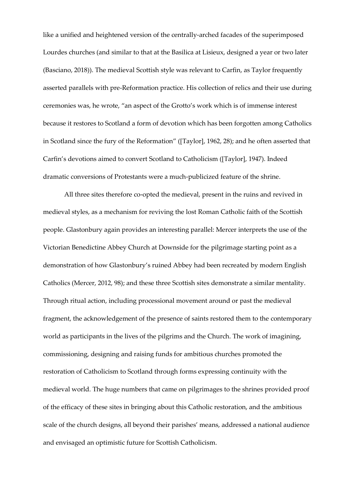like a unified and heightened version of the centrally-arched facades of the superimposed Lourdes churches (and similar to that at the Basilica at Lisieux, designed a year or two later (Basciano, 2018)). The medieval Scottish style was relevant to Carfin, as Taylor frequently asserted parallels with pre-Reformation practice. His collection of relics and their use during ceremonies was, he wrote, "an aspect of the Grotto's work which is of immense interest because it restores to Scotland a form of devotion which has been forgotten among Catholics in Scotland since the fury of the Reformation" ([Taylor], 1962, 28); and he often asserted that Carfin's devotions aimed to convert Scotland to Catholicism ([Taylor], 1947). Indeed dramatic conversions of Protestants were a much-publicized feature of the shrine.

All three sites therefore co-opted the medieval, present in the ruins and revived in medieval styles, as a mechanism for reviving the lost Roman Catholic faith of the Scottish people. Glastonbury again provides an interesting parallel: Mercer interprets the use of the Victorian Benedictine Abbey Church at Downside for the pilgrimage starting point as a demonstration of how Glastonbury's ruined Abbey had been recreated by modern English Catholics (Mercer, 2012, 98); and these three Scottish sites demonstrate a similar mentality. Through ritual action, including processional movement around or past the medieval fragment, the acknowledgement of the presence of saints restored them to the contemporary world as participants in the lives of the pilgrims and the Church. The work of imagining, commissioning, designing and raising funds for ambitious churches promoted the restoration of Catholicism to Scotland through forms expressing continuity with the medieval world. The huge numbers that came on pilgrimages to the shrines provided proof of the efficacy of these sites in bringing about this Catholic restoration, and the ambitious scale of the church designs, all beyond their parishes' means, addressed a national audience and envisaged an optimistic future for Scottish Catholicism.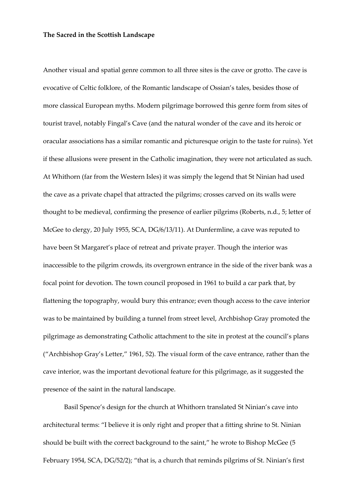#### **The Sacred in the Scottish Landscape**

Another visual and spatial genre common to all three sites is the cave or grotto. The cave is evocative of Celtic folklore, of the Romantic landscape of Ossian's tales, besides those of more classical European myths. Modern pilgrimage borrowed this genre form from sites of tourist travel, notably Fingal's Cave (and the natural wonder of the cave and its heroic or oracular associations has a similar romantic and picturesque origin to the taste for ruins). Yet if these allusions were present in the Catholic imagination, they were not articulated as such. At Whithorn (far from the Western Isles) it was simply the legend that St Ninian had used the cave as a private chapel that attracted the pilgrims; crosses carved on its walls were thought to be medieval, confirming the presence of earlier pilgrims (Roberts, n.d., 5; letter of McGee to clergy, 20 July 1955, SCA, DG/6/13/11). At Dunfermline, a cave was reputed to have been St Margaret's place of retreat and private prayer. Though the interior was inaccessible to the pilgrim crowds, its overgrown entrance in the side of the river bank was a focal point for devotion. The town council proposed in 1961 to build a car park that, by flattening the topography, would bury this entrance; even though access to the cave interior was to be maintained by building a tunnel from street level, Archbishop Gray promoted the pilgrimage as demonstrating Catholic attachment to the site in protest at the council's plans ("Archbishop Gray's Letter," 1961, 52). The visual form of the cave entrance, rather than the cave interior, was the important devotional feature for this pilgrimage, as it suggested the presence of the saint in the natural landscape.

Basil Spence's design for the church at Whithorn translated St Ninian's cave into architectural terms: "I believe it is only right and proper that a fitting shrine to St. Ninian should be built with the correct background to the saint," he wrote to Bishop McGee (5 February 1954, SCA, DG/52/2); "that is, a church that reminds pilgrims of St. Ninian's first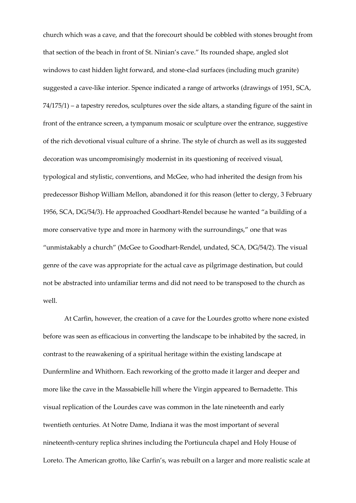church which was a cave, and that the forecourt should be cobbled with stones brought from that section of the beach in front of St. Ninian's cave." Its rounded shape, angled slot windows to cast hidden light forward, and stone-clad surfaces (including much granite) suggested a cave-like interior. Spence indicated a range of artworks (drawings of 1951, SCA,  $74/175/1$ ) – a tapestry reredos, sculptures over the side altars, a standing figure of the saint in front of the entrance screen, a tympanum mosaic or sculpture over the entrance, suggestive of the rich devotional visual culture of a shrine. The style of church as well as its suggested decoration was uncompromisingly modernist in its questioning of received visual, typological and stylistic, conventions, and McGee, who had inherited the design from his predecessor Bishop William Mellon, abandoned it for this reason (letter to clergy, 3 February 1956, SCA, DG/54/3). He approached Goodhart-Rendel because he wanted "a building of a more conservative type and more in harmony with the surroundings," one that was "unmistakably a church" (McGee to Goodhart-Rendel, undated, SCA, DG/54/2). The visual genre of the cave was appropriate for the actual cave as pilgrimage destination, but could not be abstracted into unfamiliar terms and did not need to be transposed to the church as well.

At Carfin, however, the creation of a cave for the Lourdes grotto where none existed before was seen as efficacious in converting the landscape to be inhabited by the sacred, in contrast to the reawakening of a spiritual heritage within the existing landscape at Dunfermline and Whithorn. Each reworking of the grotto made it larger and deeper and more like the cave in the Massabielle hill where the Virgin appeared to Bernadette. This visual replication of the Lourdes cave was common in the late nineteenth and early twentieth centuries. At Notre Dame, Indiana it was the most important of several nineteenth-century replica shrines including the Portiuncula chapel and Holy House of Loreto. The American grotto, like Carfin's, was rebuilt on a larger and more realistic scale at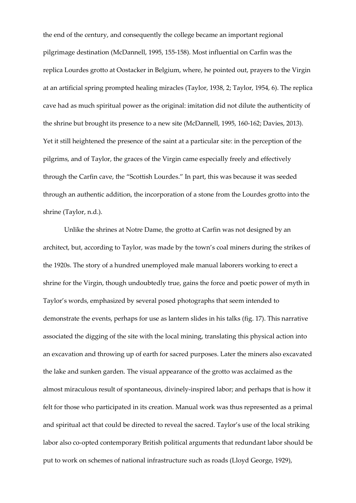the end of the century, and consequently the college became an important regional pilgrimage destination (McDannell, 1995, 155-158). Most influential on Carfin was the replica Lourdes grotto at Oostacker in Belgium, where, he pointed out, prayers to the Virgin at an artificial spring prompted healing miracles (Taylor, 1938, 2; Taylor, 1954, 6). The replica cave had as much spiritual power as the original: imitation did not dilute the authenticity of the shrine but brought its presence to a new site (McDannell, 1995, 160-162; Davies, 2013). Yet it still heightened the presence of the saint at a particular site: in the perception of the pilgrims, and of Taylor, the graces of the Virgin came especially freely and effectively through the Carfin cave, the "Scottish Lourdes." In part, this was because it was seeded through an authentic addition, the incorporation of a stone from the Lourdes grotto into the shrine (Taylor, n.d.).

Unlike the shrines at Notre Dame, the grotto at Carfin was not designed by an architect, but, according to Taylor, was made by the town's coal miners during the strikes of the 1920s. The story of a hundred unemployed male manual laborers working to erect a shrine for the Virgin, though undoubtedly true, gains the force and poetic power of myth in Taylor's words, emphasized by several posed photographs that seem intended to demonstrate the events, perhaps for use as lantern slides in his talks (fig. 17). This narrative associated the digging of the site with the local mining, translating this physical action into an excavation and throwing up of earth for sacred purposes. Later the miners also excavated the lake and sunken garden. The visual appearance of the grotto was acclaimed as the almost miraculous result of spontaneous, divinely-inspired labor; and perhaps that is how it felt for those who participated in its creation. Manual work was thus represented as a primal and spiritual act that could be directed to reveal the sacred. Taylor's use of the local striking labor also co-opted contemporary British political arguments that redundant labor should be put to work on schemes of national infrastructure such as roads (Lloyd George, 1929),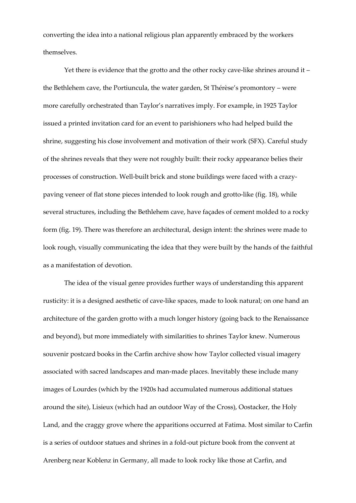converting the idea into a national religious plan apparently embraced by the workers themselves.

Yet there is evidence that the grotto and the other rocky cave-like shrines around it  $$ the Bethlehem cave, the Portiuncula, the water garden, St Thérèse's promontory - were more carefully orchestrated than Taylor's narratives imply. For example, in 1925 Taylor issued a printed invitation card for an event to parishioners who had helped build the shrine, suggesting his close involvement and motivation of their work (SFX). Careful study of the shrines reveals that they were not roughly built: their rocky appearance belies their processes of construction. Well-built brick and stone buildings were faced with a crazypaving veneer of flat stone pieces intended to look rough and grotto-like (fig. 18), while several structures, including the Bethlehem cave, have façades of cement molded to a rocky form (fig. 19). There was therefore an architectural, design intent: the shrines were made to look rough, visually communicating the idea that they were built by the hands of the faithful as a manifestation of devotion.

The idea of the visual genre provides further ways of understanding this apparent rusticity: it is a designed aesthetic of cave-like spaces, made to look natural; on one hand an architecture of the garden grotto with a much longer history (going back to the Renaissance and beyond), but more immediately with similarities to shrines Taylor knew. Numerous souvenir postcard books in the Carfin archive show how Taylor collected visual imagery associated with sacred landscapes and man-made places. Inevitably these include many images of Lourdes (which by the 1920s had accumulated numerous additional statues around the site), Lisieux (which had an outdoor Way of the Cross), Oostacker, the Holy Land, and the craggy grove where the apparitions occurred at Fatima. Most similar to Carfin is a series of outdoor statues and shrines in a fold-out picture book from the convent at Arenberg near Koblenz in Germany, all made to look rocky like those at Carfin, and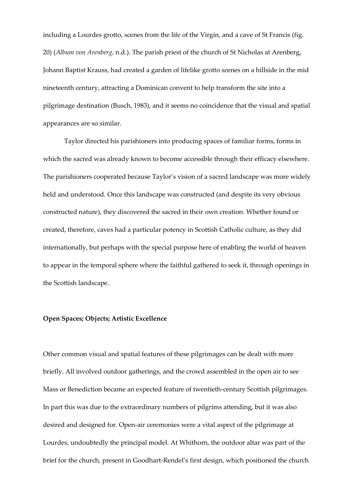including a Lourdes grotto, scenes from the life of the Virgin, and a cave of St Francis (fig. 20) (*Album von Arenberg*, n.d.). The parish priest of the church of St Nicholas at Arenberg, Johann Baptist Krauss, had created a garden of lifelike grotto scenes on a hillside in the mid nineteenth century, attracting a Dominican convent to help transform the site into a pilgrimage destination (Busch, 1983), and it seems no coincidence that the visual and spatial appearances are so similar.

Taylor directed his parishioners into producing spaces of familiar forms, forms in which the sacred was already known to become accessible through their efficacy elsewhere. The parishioners cooperated because Taylor's vision of a sacred landscape was more widely held and understood. Once this landscape was constructed (and despite its very obvious constructed nature), they discovered the sacred in their own creation. Whether found or created, therefore, caves had a particular potency in Scottish Catholic culture, as they did internationally, but perhaps with the special purpose here of enabling the world of heaven to appear in the temporal sphere where the faithful gathered to seek it, through openings in the Scottish landscape.

#### **Open Spaces; Objects; Artistic Excellence**

Other common visual and spatial features of these pilgrimages can be dealt with more briefly. All involved outdoor gatherings, and the crowd assembled in the open air to see Mass or Benediction became an expected feature of twentieth-century Scottish pilgrimages. In part this was due to the extraordinary numbers of pilgrims attending, but it was also desired and designed for. Open-air ceremonies were a vital aspect of the pilgrimage at Lourdes, undoubtedly the principal model. At Whithorn, the outdoor altar was part of the brief for the church, present in Goodhart-Rendel's first design, which positioned the church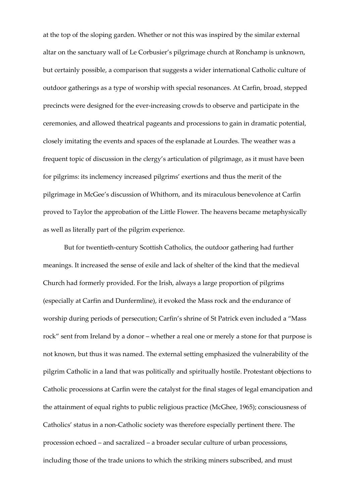at the top of the sloping garden. Whether or not this was inspired by the similar external altar on the sanctuary wall of Le Corbusier's pilgrimage church at Ronchamp is unknown, but certainly possible, a comparison that suggests a wider international Catholic culture of outdoor gatherings as a type of worship with special resonances. At Carfin, broad, stepped precincts were designed for the ever-increasing crowds to observe and participate in the ceremonies, and allowed theatrical pageants and processions to gain in dramatic potential, closely imitating the events and spaces of the esplanade at Lourdes. The weather was a frequent topic of discussion in the clergy's articulation of pilgrimage, as it must have been for pilgrims: its inclemency increased pilgrims' exertions and thus the merit of the pilgrimage in McGee's discussion of Whithorn, and its miraculous benevolence at Carfin proved to Taylor the approbation of the Little Flower. The heavens became metaphysically as well as literally part of the pilgrim experience.

But for twentieth-century Scottish Catholics, the outdoor gathering had further meanings. It increased the sense of exile and lack of shelter of the kind that the medieval Church had formerly provided. For the Irish, always a large proportion of pilgrims (especially at Carfin and Dunfermline), it evoked the Mass rock and the endurance of worship during periods of persecution; Carfin's shrine of St Patrick even included a "Mass rock" sent from Ireland by a donor - whether a real one or merely a stone for that purpose is not known, but thus it was named. The external setting emphasized the vulnerability of the pilgrim Catholic in a land that was politically and spiritually hostile. Protestant objections to Catholic processions at Carfin were the catalyst for the final stages of legal emancipation and the attainment of equal rights to public religious practice (McGhee, 1965); consciousness of Catholics' status in a non-Catholic society was therefore especially pertinent there. The procession echoed  $-$  and sacralized  $-$  a broader secular culture of urban processions, including those of the trade unions to which the striking miners subscribed, and must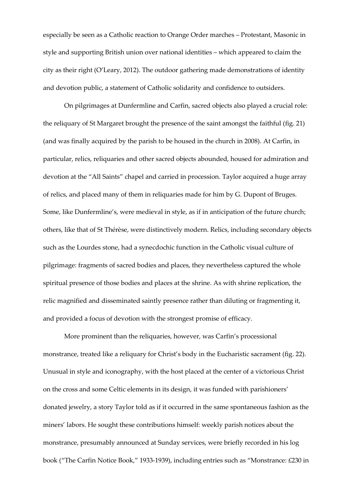especially be seen as a Catholic reaction to Orange Order marches - Protestant, Masonic in style and supporting British union over national identities – which appeared to claim the city as their right (O'Leary, 2012). The outdoor gathering made demonstrations of identity and devotion public, a statement of Catholic solidarity and confidence to outsiders.

On pilgrimages at Dunfermline and Carfin, sacred objects also played a crucial role: the reliquary of St Margaret brought the presence of the saint amongst the faithful (fig. 21) (and was finally acquired by the parish to be housed in the church in 2008). At Carfin, in particular, relics, reliquaries and other sacred objects abounded, housed for admiration and devotion at the "All Saints" chapel and carried in procession. Taylor acquired a huge array of relics, and placed many of them in reliquaries made for him by G. Dupont of Bruges. Some, like Dunfermline's, were medieval in style, as if in anticipation of the future church; others, like that of St Thérèse, were distinctively modern. Relics, including secondary objects such as the Lourdes stone, had a synecdochic function in the Catholic visual culture of pilgrimage: fragments of sacred bodies and places, they nevertheless captured the whole spiritual presence of those bodies and places at the shrine. As with shrine replication, the relic magnified and disseminated saintly presence rather than diluting or fragmenting it, and provided a focus of devotion with the strongest promise of efficacy.

More prominent than the reliquaries, however, was Carfin's processional monstrance, treated like a reliquary for Christ's body in the Eucharistic sacrament (fig. 22). Unusual in style and iconography, with the host placed at the center of a victorious Christ on the cross and some Celtic elements in its design, it was funded with parishioners' donated jewelry, a story Taylor told as if it occurred in the same spontaneous fashion as the miners' labors. He sought these contributions himself: weekly parish notices about the monstrance, presumably announced at Sunday services, were briefly recorded in his log book ("The Carfin Notice Book," 1933-1939), including entries such as "Monstrance: £230 in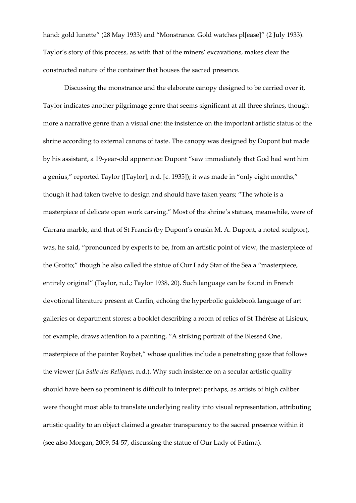hand: gold lunette" (28 May 1933) and "Monstrance. Gold watches pl[ease]" (2 July 1933). Taylor's story of this process, as with that of the miners' excavations, makes clear the constructed nature of the container that houses the sacred presence.

Discussing the monstrance and the elaborate canopy designed to be carried over it, Taylor indicates another pilgrimage genre that seems significant at all three shrines, though more a narrative genre than a visual one: the insistence on the important artistic status of the shrine according to external canons of taste. The canopy was designed by Dupont but made by his assistant, a 19-year-old apprentice: Dupont "saw immediately that God had sent him a genius," reported Taylor ([Taylor], n.d. [c. 1935]); it was made in "only eight months," though it had taken twelve to design and should have taken years; "The whole is a masterpiece of delicate open work carving." Most of the shrine's statues, meanwhile, were of Carrara marble, and that of St Francis (by Dupont's cousin M. A. Dupont, a noted sculptor), was, he said, "pronounced by experts to be, from an artistic point of view, the masterpiece of the Grotto;" though he also called the statue of Our Lady Star of the Sea a "masterpiece, entirely original" (Taylor, n.d.; Taylor 1938, 20). Such language can be found in French devotional literature present at Carfin, echoing the hyperbolic guidebook language of art galleries or department stores: a booklet describing a room of relics of St Thérèse at Lisieux, for example, draws attention to a painting, "A striking portrait of the Blessed One, masterpiece of the painter Roybet," whose qualities include a penetrating gaze that follows the viewer (*La Salle des Reliques*, n.d.). Why such insistence on a secular artistic quality should have been so prominent is difficult to interpret; perhaps, as artists of high caliber were thought most able to translate underlying reality into visual representation, attributing artistic quality to an object claimed a greater transparency to the sacred presence within it (see also Morgan, 2009, 54-57, discussing the statue of Our Lady of Fatima).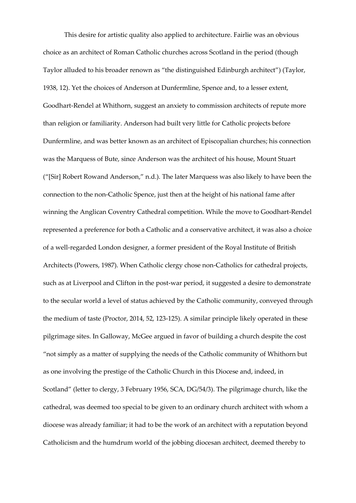This desire for artistic quality also applied to architecture. Fairlie was an obvious choice as an architect of Roman Catholic churches across Scotland in the period (though Taylor alluded to his broader renown as "the distinguished Edinburgh architect") (Taylor, 1938, 12). Yet the choices of Anderson at Dunfermline, Spence and, to a lesser extent, Goodhart-Rendel at Whithorn, suggest an anxiety to commission architects of repute more than religion or familiarity. Anderson had built very little for Catholic projects before Dunfermline, and was better known as an architect of Episcopalian churches; his connection was the Marquess of Bute, since Anderson was the architect of his house, Mount Stuart ("[Sir] Robert Rowand Anderson," n.d.). The later Marquess was also likely to have been the connection to the non-Catholic Spence, just then at the height of his national fame after winning the Anglican Coventry Cathedral competition. While the move to Goodhart-Rendel represented a preference for both a Catholic and a conservative architect, it was also a choice of a well-regarded London designer, a former president of the Royal Institute of British Architects (Powers, 1987). When Catholic clergy chose non-Catholics for cathedral projects, such as at Liverpool and Clifton in the post-war period, it suggested a desire to demonstrate to the secular world a level of status achieved by the Catholic community, conveyed through the medium of taste (Proctor, 2014, 52, 123-125). A similar principle likely operated in these pilgrimage sites. In Galloway, McGee argued in favor of building a church despite the cost "not simply as a matter of supplying the needs of the Catholic community of Whithorn but as one involving the prestige of the Catholic Church in this Diocese and, indeed, in Scotland" (letter to clergy, 3 February 1956, SCA, DG/54/3). The pilgrimage church, like the cathedral, was deemed too special to be given to an ordinary church architect with whom a diocese was already familiar; it had to be the work of an architect with a reputation beyond Catholicism and the humdrum world of the jobbing diocesan architect, deemed thereby to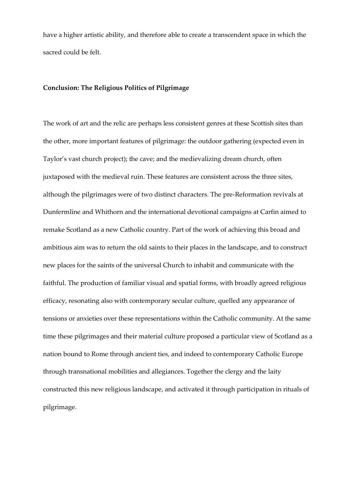have a higher artistic ability, and therefore able to create a transcendent space in which the sacred could be felt.

#### **Conclusion: The Religious Politics of Pilgrimage**

The work of art and the relic are perhaps less consistent genres at these Scottish sites than the other, more important features of pilgrimage: the outdoor gathering (expected even in Taylor's vast church project); the cave; and the medievalizing dream church, often juxtaposed with the medieval ruin. These features are consistent across the three sites, although the pilgrimages were of two distinct characters. The pre-Reformation revivals at Dunfermline and Whithorn and the international devotional campaigns at Carfin aimed to remake Scotland as a new Catholic country. Part of the work of achieving this broad and ambitious aim was to return the old saints to their places in the landscape, and to construct new places for the saints of the universal Church to inhabit and communicate with the faithful. The production of familiar visual and spatial forms, with broadly agreed religious efficacy, resonating also with contemporary secular culture, quelled any appearance of tensions or anxieties over these representations within the Catholic community. At the same time these pilgrimages and their material culture proposed a particular view of Scotland as a nation bound to Rome through ancient ties, and indeed to contemporary Catholic Europe through transnational mobilities and allegiances. Together the clergy and the laity constructed this new religious landscape, and activated it through participation in rituals of pilgrimage.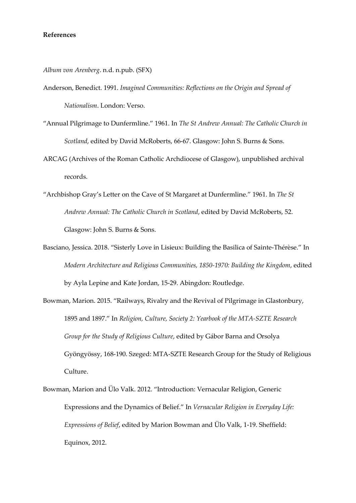#### **References**

*Album von Arenberg*. n.d. n.pub. (SFX)

- Anderson, Benedict. 1991. *Imagined Communities: Reflections on the Origin and Spread of Nationalism*. London: Verso.
- "Annual Pilgrimage to Dunfermline." 1961. In The St Andrew Annual: The Catholic Church in *Scotland*, edited by David McRoberts, 66-67. Glasgow: John S. Burns & Sons.
- ARCAG (Archives of the Roman Catholic Archdiocese of Glasgow), unpublished archival records.
- "Archbishop Gray's Letter on the Cave of St Margaret at Dunfermline." 1961. In The St *Andrew Annual: The Catholic Church in Scotland*, edited by David McRoberts, 52. Glasgow: John S. Burns & Sons.
- Basciano, Jessica. 2018. "Sisterly Love in Lisieux: Building the Basilica of Sainte-Thérèse." In *Modern Architecture and Religious Communities, 1850-1970: Building the Kingdom*, edited by Ayla Lepine and Kate Jordan, 15-29. Abingdon: Routledge.
- Bowman, Marion. 2015. "Railways, Rivalry and the Revival of Pilgrimage in Glastonbury, 1895 and 1897." In *Religion, Culture, Society 2: Yearbook of the MTA-SZTE Research Group for the Study of Religious Culture, edited by Gábor Barna and Orsolya* Gyöngyössy, 168-190. Szeged: MTA-SZTE Research Group for the Study of Religious Culture.
- Bowman, Marion and Ülo Valk. 2012. "Introduction: Vernacular Religion, Generic Expressions and the Dynamics of Belief." In Vernacular Religion in Everyday Life: *Expressions of Belief, edited by Marion Bowman and Ülo Valk, 1-19. Sheffield:* Equinox, 2012.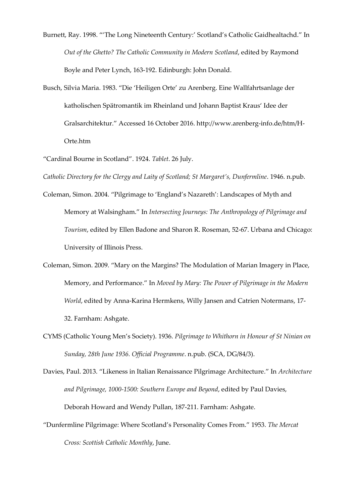Burnett, Ray. 1998. "'The Long Nineteenth Century:' Scotland's Catholic Gaidhealtachd." In *Out of the Ghetto? The Catholic Community in Modern Scotland*, edited by Raymond Boyle and Peter Lynch, 163-192. Edinburgh: John Donald.

Busch, Silvia Maria. 1983. "Die 'Heiligen Orte' zu Arenberg. Eine Wallfahrtsanlage der katholischen Spätromantik im Rheinland und Johann Baptist Kraus' Idee der Gralsarchitektur." Accessed 16 October 2016. http://www.arenberg-info.de/htm/H-Orte.htm

"Cardinal Bourne in Scotland". 1924. Tablet. 26 July.

*Catholic Directory for the Clergy and Laity of Scotland; St Margaret's, Dunfermline.* 1946. n.pub.

- Coleman, Simon. 2004. "Pilgrimage to 'England's Nazareth': Landscapes of Myth and Memory at Walsingham." In Intersecting Journeys: The Anthropology of Pilgrimage and *Tourism*, edited by Ellen Badone and Sharon R. Roseman, 52-67. Urbana and Chicago: University of Illinois Press.
- Coleman, Simon. 2009. "Mary on the Margins? The Modulation of Marian Imagery in Place, Memory, and Performance." In *Moved by Mary: The Power of Pilgrimage in the Modern World*, edited by Anna-Karina Hermkens, Willy Jansen and Catrien Notermans, 17- 32. Farnham: Ashgate.
- CYMS (Catholic Young Men's Society). 1936. Pilgrimage to Whithorn in Honour of St Ninian on *Sunday, 28th June 1936. Official Programme*. n.pub. (SCA, DG/84/3).

Davies, Paul. 2013. "Likeness in Italian Renaissance Pilgrimage Architecture." In *Architecture and Pilgrimage, 1000-1500: Southern Europe and Beyond*, edited by Paul Davies, Deborah Howard and Wendy Pullan, 187-211. Farnham: Ashgate.

"Dunfermline Pilgrimage: Where Scotland's Personality Comes From." 1953. The Mercat *Cross: Scottish Catholic Monthly*, June.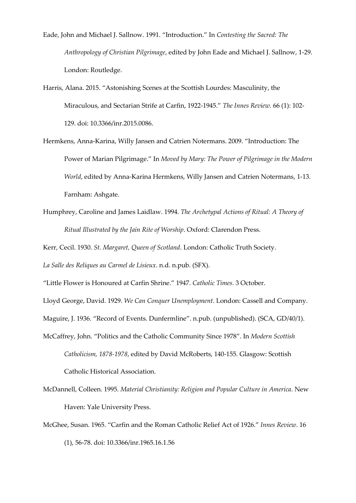Eade, John and Michael J. Sallnow. 1991. "Introduction." In Contesting the Sacred: The *Anthropology of Christian Pilgrimage*, edited by John Eade and Michael J. Sallnow, 1-29. London: Routledge.

Harris, Alana. 2015. "Astonishing Scenes at the Scottish Lourdes: Masculinity, the Miraculous, and Sectarian Strife at Carfin, 1922-1945." The Innes Review. 66 (1): 102-129. doi: 10.3366/inr.2015.0086.

Hermkens, Anna-Karina, Willy Jansen and Catrien Notermans. 2009. "Introduction: The Power of Marian Pilgrimage." In *Moved by Mary: The Power of Pilgrimage in the Modern World*, edited by Anna-Karina Hermkens, Willy Jansen and Catrien Notermans, 1-13. Farnham: Ashgate.

- Humphrey, Caroline and James Laidlaw. 1994. *The Archetypal Actions of Ritual: A Theory of Ritual Illustrated by the Jain Rite of Worship*. Oxford: Clarendon Press.
- Kerr, Cecil. 1930. *St. Margaret, Queen of Scotland*. London: Catholic Truth Society.

*La Salle des Reliques au Carmel de Lisieux*. n.d. n.pub. (SFX).

"Little Flower is Honoured at Carfin Shrine." 1947. Catholic Times. 3 October.

Lloyd George, David. 1929. *We Can Conquer Unemployment*. London: Cassell and Company.

Maguire, J. 1936. "Record of Events. Dunfermline". n.pub. (unpublished). (SCA, GD/40/1).

- McCaffrey, John. "Politics and the Catholic Community Since 1978". In *Modern Scottish Catholicism, 1878-1978*, edited by David McRoberts, 140-155. Glasgow: Scottish Catholic Historical Association.
- McDannell, Colleen. 1995. *Material Christianity: Religion and Popular Culture in America*. New Haven: Yale University Press.
- McGhee, Susan. 1965. "Carfin and the Roman Catholic Relief Act of 1926." Innes Review. 16 (1), 56-78. doi: 10.3366/inr.1965.16.1.56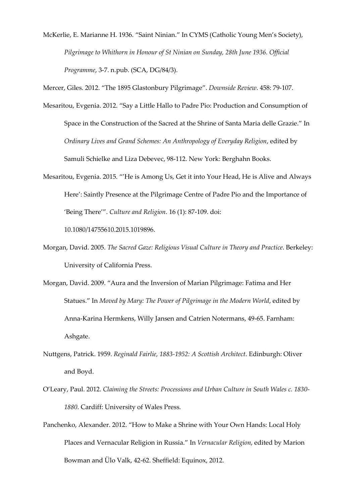McKerlie, E. Marianne H. 1936. "Saint Ninian." In CYMS (Catholic Young Men's Society), *Pilgrimage to Whithorn in Honour of St Ninian on Sunday, 28th June 1936. Official Programme*, 3-7. n.pub. (SCA, DG/84/3).

Mercer, Giles. 2012. "The 1895 Glastonbury Pilgrimage". Downside Review. 458: 79-107.

- Mesaritou, Evgenia. 2012. "Say a Little Hallo to Padre Pio: Production and Consumption of Space in the Construction of the Sacred at the Shrine of Santa Maria delle Grazie." In *Ordinary Lives and Grand Schemes: An Anthropology of Everyday Religion*, edited by Samuli Schielke and Liza Debevec, 98-112. New York: Berghahn Books.
- Mesaritou, Evgenia. 2015. "'He is Among Us, Get it into Your Head, He is Alive and Always Here': Saintly Presence at the Pilgrimage Centre of Padre Pio and the Importance of 'Being There'". Culture and Religion. 16 (1): 87-109. doi:

10.1080/14755610.2015.1019896.

- Morgan, David. 2005. *The Sacred Gaze: Religious Visual Culture in Theory and Practice*. Berkeley: University of California Press.
- Morgan, David. 2009. "Aura and the Inversion of Marian Pilgrimage: Fatima and Her Statues." In *Moved by Mary: The Power of Pilgrimage in the Modern World*, edited by Anna-Karina Hermkens, Willy Jansen and Catrien Notermans, 49-65. Farnham: Ashgate.
- Nuttgens, Patrick. 1959. *Reginald Fairlie, 1883-1952: A Scottish Architect*. Edinburgh: Oliver and Boyd.
- O'Leary, Paul. 2012. *Claiming the Streets: Processions and Urban Culture in South Wales c. 1830-1880*. Cardiff: University of Wales Press.
- Panchenko, Alexander. 2012. "How to Make a Shrine with Your Own Hands: Local Holy Places and Vernacular Religion in Russia." In Vernacular Religion, edited by Marion Bowman and Ülo Valk, 42-62. Sheffield: Equinox, 2012.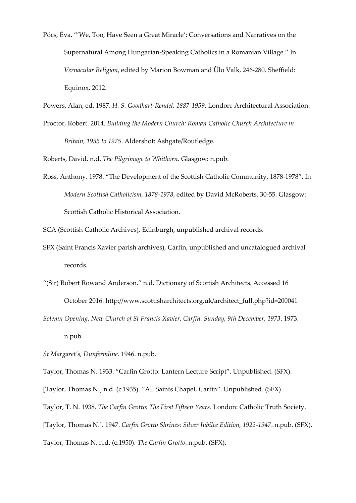- Pócs, Éva. "'We, Too, Have Seen a Great Miracle': Conversations and Narratives on the Supernatural Among Hungarian-Speaking Catholics in a Romanian Village." In *Vernacular Religion, edited by Marion Bowman and Ülo Valk, 246-280. Sheffield:* Equinox, 2012.
- Powers, Alan, ed. 1987. *H. S. Goodhart-Rendel, 1887-1959*. London: Architectural Association.
- Proctor, Robert. 2014. *Building the Modern Church: Roman Catholic Church Architecture in Britain, 1955 to 1975*. Aldershot: Ashgate/Routledge.

Roberts, David. n.d. *The Pilgrimage to Whithorn*. Glasgow: n.pub.

Ross, Anthony. 1978. "The Development of the Scottish Catholic Community, 1878-1978". In *Modern Scottish Catholicism, 1878-1978*, edited by David McRoberts, 30-55. Glasgow: Scottish Catholic Historical Association.

SCA (Scottish Catholic Archives), Edinburgh, unpublished archival records.

- SFX (Saint Francis Xavier parish archives), Carfin, unpublished and uncatalogued archival records.
- "(Sir) Robert Rowand Anderson." n.d. Dictionary of Scottish Architects. Accessed 16 October 2016. http://www.scottisharchitects.org.uk/architect\_full.php?id=200041
- *Solemn Opening. New Church of St Francis Xavier, Carfin. Sunday, 9th December, 1973*. 1973. n.pub.

*St Margaret's, Dunfermline*. 1946. n.pub.

Taylor, Thomas N. 1933. "Carfin Grotto: Lantern Lecture Script". Unpublished. (SFX).

[Taylor, Thomas N.] n.d. (c.1935). "All Saints Chapel, Carfin". Unpublished. (SFX).

Taylor, T. N. 1938. *The Carfin Grotto: The First Fifteen Years*. London: Catholic Truth Society.

[Taylor, Thomas N.]. 1947. *Carfin Grotto Shrines: Silver Jubilee Edition, 1922-1947*. n.pub. (SFX).

Taylor, Thomas N. n.d. (c.1950). *The Carfin Grotto*. n.pub. (SFX).